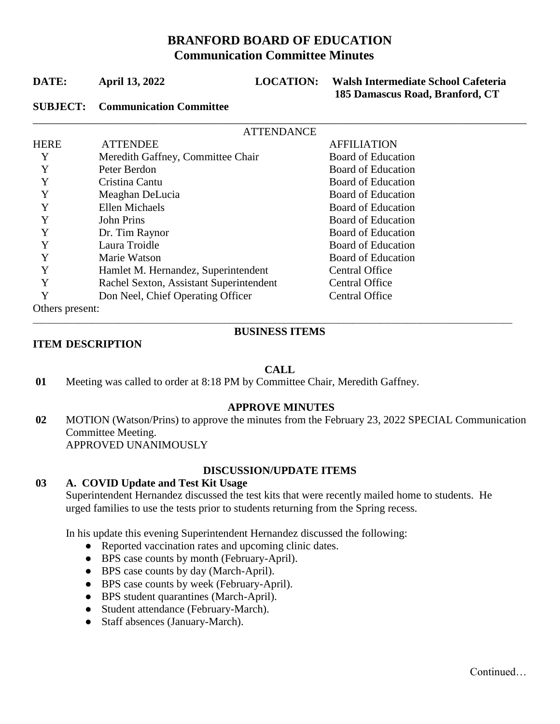# **BRANFORD BOARD OF EDUCATION Communication Committee Minutes**

\_\_\_\_\_\_\_\_\_\_\_\_\_\_\_\_\_\_\_\_\_\_\_\_\_\_\_\_\_\_\_\_\_\_\_\_\_\_\_\_\_\_\_\_\_\_\_\_\_\_\_\_\_\_\_\_\_\_\_\_\_\_\_\_\_\_\_\_\_\_\_\_\_\_\_\_\_\_\_\_\_\_\_\_\_\_\_\_\_\_

| DATE: | <b>April 13, 2022</b> |
|-------|-----------------------|
|-------|-----------------------|

**LOCATION:** Walsh Intermediate School Cafeteria  **185 Damascus Road, Branford, CT**

## **SUBJECT: Communication Committee**

|                 | <b>ATTENDANCE</b>                       |                           |  |
|-----------------|-----------------------------------------|---------------------------|--|
| <b>HERE</b>     | <b>ATTENDEE</b>                         | <b>AFFILIATION</b>        |  |
| Y               | Meredith Gaffney, Committee Chair       | Board of Education        |  |
| Y               | Peter Berdon                            | Board of Education        |  |
| Y               | Cristina Cantu                          | Board of Education        |  |
| Y               | Meaghan DeLucia                         | Board of Education        |  |
| Y               | Ellen Michaels                          | <b>Board of Education</b> |  |
| Y               | <b>John Prins</b>                       | <b>Board of Education</b> |  |
| Y               | Dr. Tim Raynor                          | Board of Education        |  |
| Y               | Laura Troidle                           | <b>Board of Education</b> |  |
| Y               | Marie Watson                            | <b>Board of Education</b> |  |
| Y               | Hamlet M. Hernandez, Superintendent     | <b>Central Office</b>     |  |
| Y               | Rachel Sexton, Assistant Superintendent | <b>Central Office</b>     |  |
| Y               | Don Neel, Chief Operating Officer       | <b>Central Office</b>     |  |
| Others present: |                                         |                           |  |

#### \_\_\_\_\_\_\_\_\_\_\_\_\_\_\_\_\_\_\_\_\_\_\_\_\_\_\_\_\_\_\_\_\_\_\_\_\_\_\_\_\_\_\_\_\_\_\_\_\_\_\_\_\_\_\_\_\_\_\_\_\_\_\_\_\_\_\_\_\_\_\_\_\_\_\_\_\_\_\_\_\_\_\_\_\_\_\_\_\_\_\_\_\_\_\_\_\_\_\_\_\_\_\_\_\_ **BUSINESS ITEMS**

# **ITEM DESCRIPTION**

# **CALL**

**01** Meeting was called to order at 8:18 PM by Committee Chair, Meredith Gaffney.

# **APPROVE MINUTES**

**02** MOTION (Watson/Prins) to approve the minutes from the February 23, 2022 SPECIAL Communication Committee Meeting. APPROVED UNANIMOUSLY

# **DISCUSSION/UPDATE ITEMS**

# **03 A. COVID Update and Test Kit Usage**

Superintendent Hernandez discussed the test kits that were recently mailed home to students. He urged families to use the tests prior to students returning from the Spring recess.

In his update this evening Superintendent Hernandez discussed the following:

- Reported vaccination rates and upcoming clinic dates.
- BPS case counts by month (February-April).
- BPS case counts by day (March-April).
- BPS case counts by week (February-April).
- BPS student quarantines (March-April).
- Student attendance (February-March).
- Staff absences (January-March).